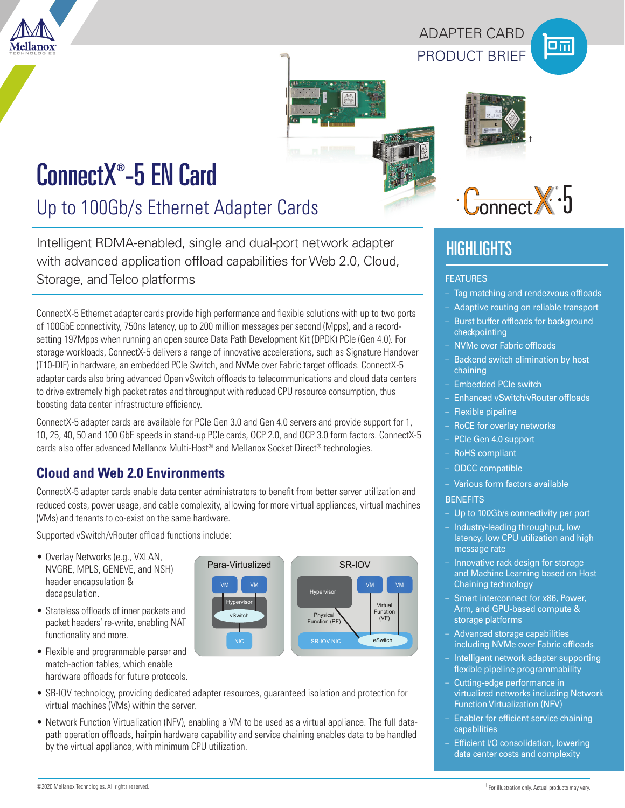

# PRODUCT BRIEF ADAPTER CARD







# ConnectX® -5 EN Card

Up to 100Gb/s Ethernet Adapter Cards

Intelligent RDMA-enabled, single and dual-port network adapter with advanced application offload capabilities for Web 2.0, Cloud, Storage, and Telco platforms

ConnectX-5 Ethernet adapter cards provide high performance and flexible solutions with up to two ports of 100GbE connectivity, 750ns latency, up to 200 million messages per second (Mpps), and a recordsetting 197Mpps when running an open source Data Path Development Kit (DPDK) PCIe (Gen 4.0). For storage workloads, ConnectX-5 delivers a range of innovative accelerations, such as Signature Handover (T10-DIF) in hardware, an embedded PCIe Switch, and NVMe over Fabric target offloads. ConnectX-5 adapter cards also bring advanced Open vSwitch offloads to telecommunications and cloud data centers to drive extremely high packet rates and throughput with reduced CPU resource consumption, thus boosting data center infrastructure efficiency.

ConnectX-5 adapter cards are available for PCIe Gen 3.0 and Gen 4.0 servers and provide support for 1, 10, 25, 40, 50 and 100 GbE speeds in stand-up PCIe cards, OCP 2.0, and OCP 3.0 form factors. ConnectX-5 cards also offer advanced Mellanox Multi-Host® and Mellanox Socket Direct® technologies.

# **Cloud and Web 2.0 Environments**

ConnectX-5 adapter cards enable data center administrators to benefit from better server utilization and reduced costs, power usage, and cable complexity, allowing for more virtual appliances, virtual machines (VMs) and tenants to co-exist on the same hardware.

Supported vSwitch/vRouter offload functions include:

- Overlay Networks (e.g., VXLAN, NVGRE, MPLS, GENEVE, and NSH) header encapsulation & decapsulation.
- Stateless offloads of inner packets and packet headers' re-write, enabling NAT functionality and more.
- Flexible and programmable parser and match-action tables, which enable hardware offloads for future protocols.
- Para-Virtualized vSwitch Virtual Function Physical<br>Function (PF) (VF) NIC SR-IOV NIC eSwitch SR-IOV VM Hypervisor Hyperviso VM **VM VM VM VM VM**
- SR-IOV technology, providing dedicated adapter resources, guaranteed isolation and protection for virtual machines (VMs) within the server.
- Network Function Virtualization (NFV), enabling a VM to be used as a virtual appliance. The full datapath operation offloads, hairpin hardware capability and service chaining enables data to be handled by the virtual appliance, with minimum CPU utilization.



†

# **HIGHLIGHTS**

#### FEATURES

- Tag matching and rendezvous offloads
- Adaptive routing on reliable transport
- Burst buffer offloads for background checkpointing
- NVMe over Fabric offloads
- Backend switch elimination by host chaining
- Embedded PCIe switch
- Enhanced vSwitch/vRouter offloads
- Flexible pipeline
- RoCE for overlay networks
- PCIe Gen 4.0 support
- RoHS compliant
- ODCC compatible
- Various form factors available **BENEFITS**
- 
- Up to 100Gb/s connectivity per port – Industry-leading throughput, low
- latency, low CPU utilization and high message rate
- Innovative rack design for storage and Machine Learning based on Host Chaining technology
- Smart interconnect for x86, Power, Arm, and GPU-based compute & storage platforms
- Advanced storage capabilities including NVMe over Fabric offloads
- Intelligent network adapter supporting flexible pipeline programmability
- Cutting-edge performance in virtualized networks including Network Function Virtualization (NFV)
- Enabler for efficient service chaining capabilities
- Efficient I/O consolidation, lowering data center costs and complexity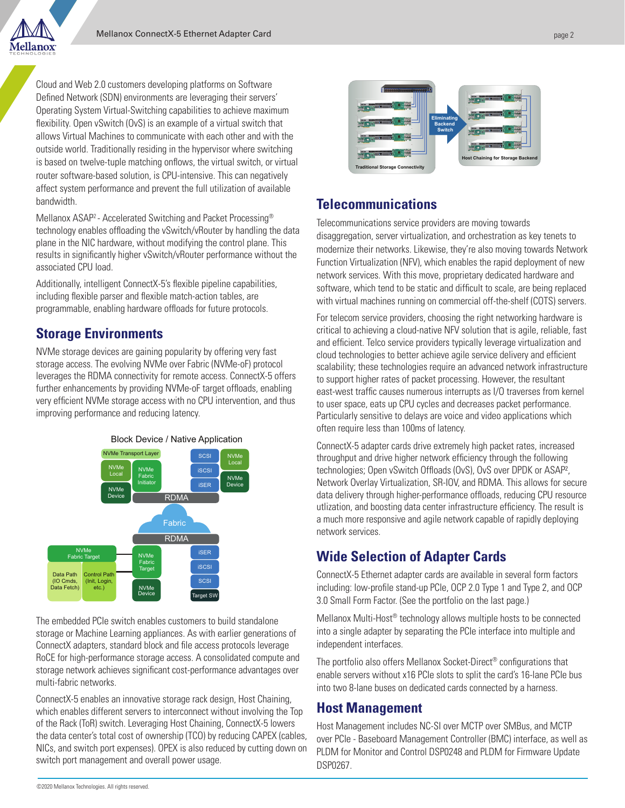

Cloud and Web 2.0 customers developing platforms on Software Defined Network (SDN) environments are leveraging their servers' Operating System Virtual-Switching capabilities to achieve maximum flexibility. Open vSwitch (OvS) is an example of a virtual switch that allows Virtual Machines to communicate with each other and with the outside world. Traditionally residing in the hypervisor where switching is based on twelve-tuple matching onflows, the virtual switch, or virtual router software-based solution, is CPU-intensive. This can negatively affect system performance and prevent the full utilization of available bandwidth.

Mellanox ASAP2 - Accelerated Switching and Packet Processing® technology enables offloading the vSwitch/vRouter by handling the data plane in the NIC hardware, without modifying the control plane. This results in significantly higher vSwitch/vRouter performance without the associated CPU load.

Additionally, intelligent ConnectX-5's flexible pipeline capabilities, including flexible parser and flexible match-action tables, are programmable, enabling hardware offloads for future protocols.

## **Storage Environments**

NVMe storage devices are gaining popularity by offering very fast storage access. The evolving NVMe over Fabric (NVMe-oF) protocol leverages the RDMA connectivity for remote access. ConnectX-5 offers further enhancements by providing NVMe-oF target offloads, enabling very efficient NVMe storage access with no CPU intervention, and thus improving performance and reducing latency.



The embedded PCIe switch enables customers to build standalone storage or Machine Learning appliances. As with earlier generations of ConnectX adapters, standard block and file access protocols leverage RoCE for high-performance storage access. A consolidated compute and storage network achieves significant cost-performance advantages over multi-fabric networks.

ConnectX-5 enables an innovative storage rack design, Host Chaining, which enables different servers to interconnect without involving the Top of the Rack (ToR) switch. Leveraging Host Chaining, ConnectX-5 lowers the data center's total cost of ownership (TCO) by reducing CAPEX (cables, NICs, and switch port expenses). OPEX is also reduced by cutting down on switch port management and overall power usage.



## **Telecommunications**

Telecommunications service providers are moving towards disaggregation, server virtualization, and orchestration as key tenets to modernize their networks. Likewise, they're also moving towards Network Function Virtualization (NFV), which enables the rapid deployment of new network services. With this move, proprietary dedicated hardware and software, which tend to be static and difficult to scale, are being replaced with virtual machines running on commercial off-the-shelf (COTS) servers.

For telecom service providers, choosing the right networking hardware is critical to achieving a cloud-native NFV solution that is agile, reliable, fast and efficient. Telco service providers typically leverage virtualization and cloud technologies to better achieve agile service delivery and efficient scalability; these technologies require an advanced network infrastructure to support higher rates of packet processing. However, the resultant east-west traffic causes numerous interrupts as I/O traverses from kernel to user space, eats up CPU cycles and decreases packet performance. Particularly sensitive to delays are voice and video applications which often require less than 100ms of latency.

ConnectX-5 adapter cards drive extremely high packet rates, increased throughput and drive higher network efficiency through the following technologies; Open vSwitch Offloads (OvS), OvS over DPDK or ASAP², Network Overlay Virtualization, SR-IOV, and RDMA. This allows for secure data delivery through higher-performance offloads, reducing CPU resource utlization, and boosting data center infrastructure efficiency. The result is a much more responsive and agile network capable of rapidly deploying network services.

# **Wide Selection of Adapter Cards**

ConnectX-5 Ethernet adapter cards are available in several form factors including: low-profile stand-up PCIe, OCP 2.0 Type 1 and Type 2, and OCP 3.0 Small Form Factor. (See the portfolio on the last page.)

Mellanox Multi-Host® technology allows multiple hosts to be connected into a single adapter by separating the PCIe interface into multiple and independent interfaces.

The portfolio also offers Mellanox Socket-Direct® configurations that enable servers without x16 PCIe slots to split the card's 16-lane PCIe bus into two 8-lane buses on dedicated cards connected by a harness.

### **Host Management**

Host Management includes NC-SI over MCTP over SMBus, and MCTP over PCIe - Baseboard Management Controller (BMC) interface, as well as PLDM for Monitor and Control DSP0248 and PLDM for Firmware Update DSP0267.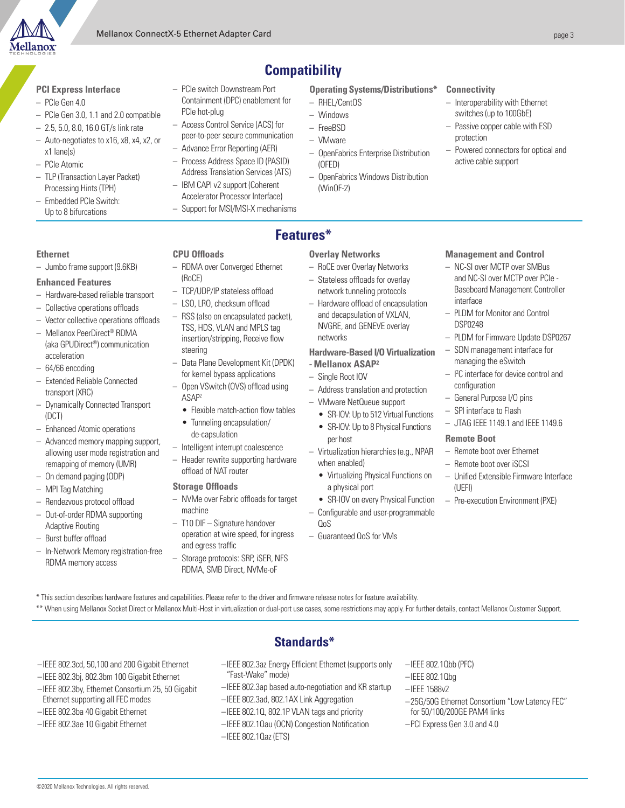

#### **PCI Express Interface**

- PCIe Gen 4.0
- PCIe Gen 3.0, 1.1 and 2.0 compatible
- 2.5, 5.0, 8.0, 16.0 GT/s link rate
- Auto-negotiates to x16, x8, x4, x2, or x1 lane(s)
- PCIe Atomic
- TLP (Transaction Layer Packet) Processing Hints (TPH)
- Embedded PCIe Switch: Up to 8 bifurcations
- PCIe switch Downstream Port Containment (DPC) enablement for PCIe hot-plug
- Access Control Service (ACS) for peer-to-peer secure communication
- Advance Error Reporting (AER) – Process Address Space ID (PASID)
- Address Translation Services (ATS) – IBM CAPI v2 support (Coherent
- Accelerator Processor Interface) – Support for MSI/MSI-X mechanisms

**Operating Systems/Distributions\***

- RHEL/CentOS
- Windows
- FreeBSD
- VMware

**Features\***

**Compatibility**

- OpenFabrics Enterprise Distribution (OFED)
- OpenFabrics Windows Distribution (WinOF-2)

#### **Connectivity**

- Interoperability with Ethernet switches (up to 100GbE)
- Passive copper cable with ESD protection
- Powered connectors for optical and active cable support

#### **Ethernet**

– Jumbo frame support (9.6KB)

#### **Enhanced Features**

- Hardware-based reliable transport
- Collective operations offloads
- Vector collective operations offloads
- Mellanox PeerDirect® RDMA (aka GPUDirect®) communication acceleration
- 64/66 encoding
- Extended Reliable Connected transport (XRC)
- Dynamically Connected Transport (DCT)
- Enhanced Atomic operations
- Advanced memory mapping support, allowing user mode registration and remapping of memory (UMR)
- On demand paging (ODP)
- MPI Tag Matching
- Rendezvous protocol offload
- Out-of-order RDMA supporting Adaptive Routing
- Burst buffer offload
- In-Network Memory registration-free RDMA memory access
- **CPU Offloads** – RDMA over Converged Ethernet (RoCE)
- TCP/UDP/IP stateless offload
- LSO, LRO, checksum offload
- RSS (also on encapsulated packet), TSS, HDS, VLAN and MPLS tag insertion/stripping, Receive flow steering
- Data Plane Development Kit (DPDK) for kernel bypass applications
- Open VSwitch (OVS) offload using ASAP2
- Flexible match-action flow tables
- Tunneling encapsulation/ de-capsulation
- Intelligent interrupt coalescence
- Header rewrite supporting hardware offload of NAT router

#### **Storage Offloads**

- NVMe over Fabric offloads for target machine
- T10 DIF Signature handover operation at wire speed, for ingress and egress traffic
- Storage protocols: SRP, iSER, NFS RDMA, SMB Direct, NVMe-oF
- **Overlay Networks**
- RoCE over Overlay Networks
- Stateless offloads for overlay network tunneling protocols
- Hardware offload of encapsulation and decapsulation of VXLAN, NVGRE, and GENEVE overlay networks
- **Hardware-Based I/O Virtualization - Mellanox ASAP²**
- Single Root IOV
- Address translation and protection
- VMware NetQueue support
- SR-IOV: Up to 512 Virtual Functions
	- SR-IOV: Up to 8 Physical Functions per host
- Virtualization hierarchies (e.g., NPAR when enabled)
	- Virtualizing Physical Functions on a physical port
	- SR-IOV on every Physical Function
- Configurable and user-programmable QoS
- Guaranteed QoS for VMs

#### **Management and Control**

- NC-SI over MCTP over SMBus and NC-SI over MCTP over PCIe - Baseboard Management Controller interface
- PLDM for Monitor and Control DSP0248
- PLDM for Firmware Update DSP0267
- SDN management interface for managing the eSwitch
- I 2 C interface for device control and configuration
- General Purpose I/O pins
- SPI interface to Flash
- JTAG IEEE 1149.1 and IEEE 1149.6

#### **Remote Boot**

–IEEE 802.1Qbb (PFC) –IEEE 802.1Qbg –IEEE 1588v2

for 50/100/200GE PAM4 links –PCI Express Gen 3.0 and 4.0

- Remote boot over Ethernet
- Remote boot over iSCSI

–25G/50G Ethernet Consortium "Low Latency FEC"

- Unified Extensible Firmware Interface (UEFI)
- Pre-execution Environment (PXE)

- \* This section describes hardware features and capabilities. Please refer to the driver and firmware release notes for feature availability.
- \*\* When using Mellanox Socket Direct or Mellanox Multi-Host in virtualization or dual-port use cases, some restrictions may apply. For further details, contact Mellanox Customer Support.
- –IEEE 802.3cd, 50,100 and 200 Gigabit Ethernet
- –IEEE 802.3bj, 802.3bm 100 Gigabit Ethernet
- –IEEE 802.3by, Ethernet Consortium 25, 50 Gigabit Ethernet supporting all FEC modes
- –IEEE 802.3ba 40 Gigabit Ethernet
- –IEEE 802.3ae 10 Gigabit Ethernet

©2020 Mellanox Technologies. All rights reserved.

# **Standards\***

- –IEEE 802.3az Energy Efficient Ethernet (supports only "Fast-Wake" mode)
- –IEEE 802.3ap based auto-negotiation and KR startup
- –IEEE 802.3ad, 802.1AX Link Aggregation
- –IEEE 802.1Q, 802.1P VLAN tags and priority –IEEE 802.1Qau (QCN) Congestion Notification

–IEEE 802.1Qaz (ETS)